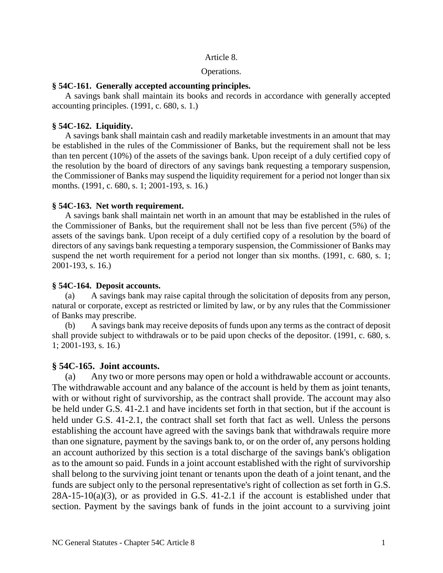### Article 8.

### Operations.

### **§ 54C-161. Generally accepted accounting principles.**

A savings bank shall maintain its books and records in accordance with generally accepted accounting principles. (1991, c. 680, s. 1.)

### **§ 54C-162. Liquidity.**

A savings bank shall maintain cash and readily marketable investments in an amount that may be established in the rules of the Commissioner of Banks, but the requirement shall not be less than ten percent (10%) of the assets of the savings bank. Upon receipt of a duly certified copy of the resolution by the board of directors of any savings bank requesting a temporary suspension, the Commissioner of Banks may suspend the liquidity requirement for a period not longer than six months. (1991, c. 680, s. 1; 2001-193, s. 16.)

### **§ 54C-163. Net worth requirement.**

A savings bank shall maintain net worth in an amount that may be established in the rules of the Commissioner of Banks, but the requirement shall not be less than five percent (5%) of the assets of the savings bank. Upon receipt of a duly certified copy of a resolution by the board of directors of any savings bank requesting a temporary suspension, the Commissioner of Banks may suspend the net worth requirement for a period not longer than six months. (1991, c. 680, s. 1; 2001-193, s. 16.)

### **§ 54C-164. Deposit accounts.**

(a) A savings bank may raise capital through the solicitation of deposits from any person, natural or corporate, except as restricted or limited by law, or by any rules that the Commissioner of Banks may prescribe.

(b) A savings bank may receive deposits of funds upon any terms as the contract of deposit shall provide subject to withdrawals or to be paid upon checks of the depositor. (1991, c. 680, s. 1; 2001-193, s. 16.)

### **§ 54C-165. Joint accounts.**

(a) Any two or more persons may open or hold a withdrawable account or accounts. The withdrawable account and any balance of the account is held by them as joint tenants, with or without right of survivorship, as the contract shall provide. The account may also be held under G.S. 41-2.1 and have incidents set forth in that section, but if the account is held under G.S. 41-2.1, the contract shall set forth that fact as well. Unless the persons establishing the account have agreed with the savings bank that withdrawals require more than one signature, payment by the savings bank to, or on the order of, any persons holding an account authorized by this section is a total discharge of the savings bank's obligation as to the amount so paid. Funds in a joint account established with the right of survivorship shall belong to the surviving joint tenant or tenants upon the death of a joint tenant, and the funds are subject only to the personal representative's right of collection as set forth in G.S.  $28A-15-10(a)(3)$ , or as provided in G.S. 41-2.1 if the account is established under that section. Payment by the savings bank of funds in the joint account to a surviving joint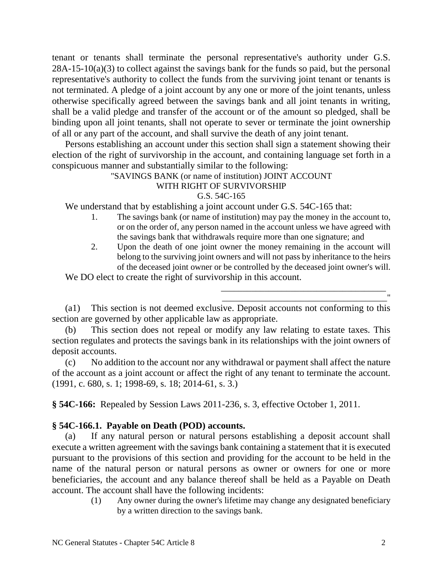tenant or tenants shall terminate the personal representative's authority under G.S.  $28A-15-10(a)(3)$  to collect against the savings bank for the funds so paid, but the personal representative's authority to collect the funds from the surviving joint tenant or tenants is not terminated. A pledge of a joint account by any one or more of the joint tenants, unless otherwise specifically agreed between the savings bank and all joint tenants in writing, shall be a valid pledge and transfer of the account or of the amount so pledged, shall be binding upon all joint tenants, shall not operate to sever or terminate the joint ownership of all or any part of the account, and shall survive the death of any joint tenant.

Persons establishing an account under this section shall sign a statement showing their election of the right of survivorship in the account, and containing language set forth in a conspicuous manner and substantially similar to the following:

## "SAVINGS BANK (or name of institution) JOINT ACCOUNT

## WITH RIGHT OF SURVIVORSHIP

## G.S. 54C-165

We understand that by establishing a joint account under G.S. 54C-165 that:

- 1. The savings bank (or name of institution) may pay the money in the account to, or on the order of, any person named in the account unless we have agreed with the savings bank that withdrawals require more than one signature; and
- 2. Upon the death of one joint owner the money remaining in the account will belong to the surviving joint owners and will not pass by inheritance to the heirs of the deceased joint owner or be controlled by the deceased joint owner's will.

\_\_\_\_\_\_\_\_\_\_\_\_\_\_\_\_\_\_\_\_\_\_\_\_\_\_\_\_\_\_\_\_\_\_\_\_\_\_ \_\_\_\_\_\_\_\_\_\_\_\_\_\_\_\_\_\_\_\_\_\_\_\_\_\_\_\_\_\_\_\_\_\_\_\_\_\_"

We DO elect to create the right of survivorship in this account.

(a1) This section is not deemed exclusive. Deposit accounts not conforming to this section are governed by other applicable law as appropriate.

(b) This section does not repeal or modify any law relating to estate taxes. This section regulates and protects the savings bank in its relationships with the joint owners of deposit accounts.

(c) No addition to the account nor any withdrawal or payment shall affect the nature of the account as a joint account or affect the right of any tenant to terminate the account. (1991, c. 680, s. 1; 1998-69, s. 18; 2014-61, s. 3.)

**§ 54C-166:** Repealed by Session Laws 2011-236, s. 3, effective October 1, 2011.

# **§ 54C-166.1. Payable on Death (POD) accounts.**

(a) If any natural person or natural persons establishing a deposit account shall execute a written agreement with the savings bank containing a statement that it is executed pursuant to the provisions of this section and providing for the account to be held in the name of the natural person or natural persons as owner or owners for one or more beneficiaries, the account and any balance thereof shall be held as a Payable on Death account. The account shall have the following incidents:

> (1) Any owner during the owner's lifetime may change any designated beneficiary by a written direction to the savings bank.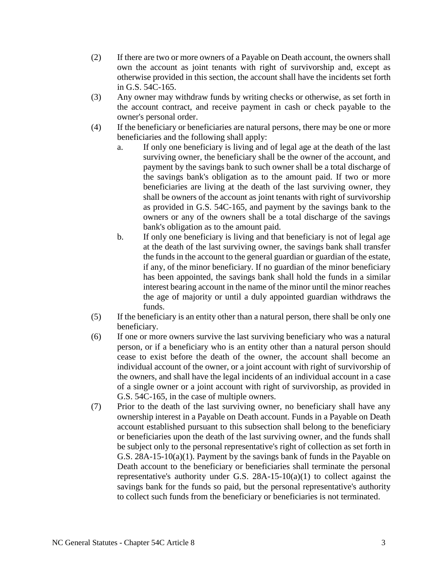- (2) If there are two or more owners of a Payable on Death account, the owners shall own the account as joint tenants with right of survivorship and, except as otherwise provided in this section, the account shall have the incidents set forth in G.S. 54C-165.
- (3) Any owner may withdraw funds by writing checks or otherwise, as set forth in the account contract, and receive payment in cash or check payable to the owner's personal order.
- (4) If the beneficiary or beneficiaries are natural persons, there may be one or more beneficiaries and the following shall apply:
	- a. If only one beneficiary is living and of legal age at the death of the last surviving owner, the beneficiary shall be the owner of the account, and payment by the savings bank to such owner shall be a total discharge of the savings bank's obligation as to the amount paid. If two or more beneficiaries are living at the death of the last surviving owner, they shall be owners of the account as joint tenants with right of survivorship as provided in G.S. 54C-165, and payment by the savings bank to the owners or any of the owners shall be a total discharge of the savings bank's obligation as to the amount paid.
	- b. If only one beneficiary is living and that beneficiary is not of legal age at the death of the last surviving owner, the savings bank shall transfer the funds in the account to the general guardian or guardian of the estate, if any, of the minor beneficiary. If no guardian of the minor beneficiary has been appointed, the savings bank shall hold the funds in a similar interest bearing account in the name of the minor until the minor reaches the age of majority or until a duly appointed guardian withdraws the funds.
- (5) If the beneficiary is an entity other than a natural person, there shall be only one beneficiary.
- (6) If one or more owners survive the last surviving beneficiary who was a natural person, or if a beneficiary who is an entity other than a natural person should cease to exist before the death of the owner, the account shall become an individual account of the owner, or a joint account with right of survivorship of the owners, and shall have the legal incidents of an individual account in a case of a single owner or a joint account with right of survivorship, as provided in G.S. 54C-165, in the case of multiple owners.
- (7) Prior to the death of the last surviving owner, no beneficiary shall have any ownership interest in a Payable on Death account. Funds in a Payable on Death account established pursuant to this subsection shall belong to the beneficiary or beneficiaries upon the death of the last surviving owner, and the funds shall be subject only to the personal representative's right of collection as set forth in G.S. 28A-15-10(a)(1). Payment by the savings bank of funds in the Payable on Death account to the beneficiary or beneficiaries shall terminate the personal representative's authority under G.S.  $28A-15-10(a)(1)$  to collect against the savings bank for the funds so paid, but the personal representative's authority to collect such funds from the beneficiary or beneficiaries is not terminated.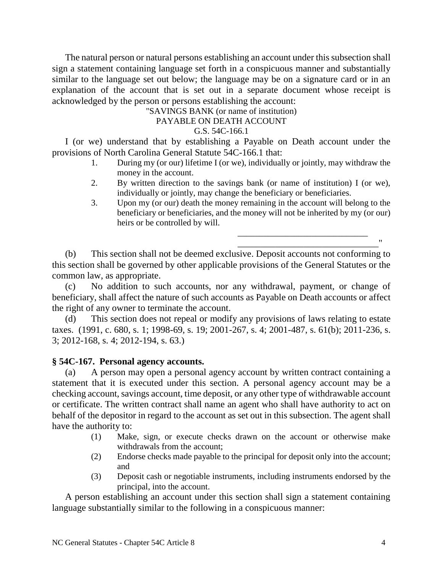The natural person or natural persons establishing an account under this subsection shall sign a statement containing language set forth in a conspicuous manner and substantially similar to the language set out below; the language may be on a signature card or in an explanation of the account that is set out in a separate document whose receipt is acknowledged by the person or persons establishing the account:

"SAVINGS BANK (or name of institution)

## PAYABLE ON DEATH ACCOUNT

## G.S. 54C-166.1

I (or we) understand that by establishing a Payable on Death account under the provisions of North Carolina General Statute 54C-166.1 that:

- 1. During my (or our) lifetime I (or we), individually or jointly, may withdraw the money in the account.
- 2. By written direction to the savings bank (or name of institution) I (or we), individually or jointly, may change the beneficiary or beneficiaries.
- 3. Upon my (or our) death the money remaining in the account will belong to the beneficiary or beneficiaries, and the money will not be inherited by my (or our) heirs or be controlled by will.

\_\_\_\_\_\_\_\_\_\_\_\_\_\_\_\_\_\_\_\_\_\_\_\_\_\_\_\_\_\_ \_\_\_\_\_\_\_\_\_\_\_\_\_\_\_\_\_\_\_\_\_\_\_\_\_\_\_\_\_\_"

(b) This section shall not be deemed exclusive. Deposit accounts not conforming to this section shall be governed by other applicable provisions of the General Statutes or the common law, as appropriate.

(c) No addition to such accounts, nor any withdrawal, payment, or change of beneficiary, shall affect the nature of such accounts as Payable on Death accounts or affect the right of any owner to terminate the account.

(d) This section does not repeal or modify any provisions of laws relating to estate taxes. (1991, c. 680, s. 1; 1998-69, s. 19; 2001-267, s. 4; 2001-487, s. 61(b); 2011-236, s. 3; 2012-168, s. 4; 2012-194, s. 63.)

### **§ 54C-167. Personal agency accounts.**

(a) A person may open a personal agency account by written contract containing a statement that it is executed under this section. A personal agency account may be a checking account, savings account, time deposit, or any other type of withdrawable account or certificate. The written contract shall name an agent who shall have authority to act on behalf of the depositor in regard to the account as set out in this subsection. The agent shall have the authority to:

- (1) Make, sign, or execute checks drawn on the account or otherwise make withdrawals from the account;
- (2) Endorse checks made payable to the principal for deposit only into the account; and
- (3) Deposit cash or negotiable instruments, including instruments endorsed by the principal, into the account.

A person establishing an account under this section shall sign a statement containing language substantially similar to the following in a conspicuous manner: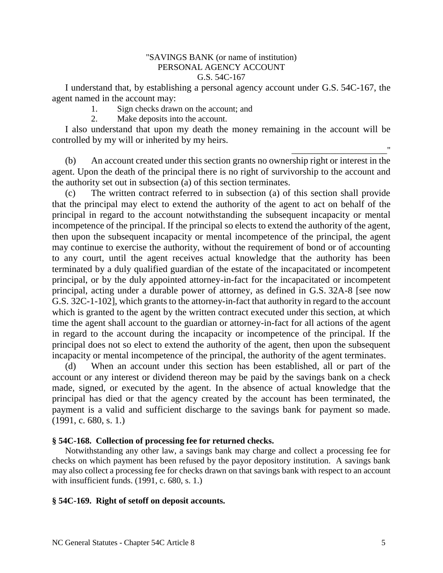### "SAVINGS BANK (or name of institution) PERSONAL AGENCY ACCOUNT G.S. 54C-167

I understand that, by establishing a personal agency account under G.S. 54C-167, the agent named in the account may:

1. Sign checks drawn on the account; and

2. Make deposits into the account.

I also understand that upon my death the money remaining in the account will be controlled by my will or inherited by my heirs.

(b) An account created under this section grants no ownership right or interest in the agent. Upon the death of the principal there is no right of survivorship to the account and the authority set out in subsection (a) of this section terminates.

(c) The written contract referred to in subsection (a) of this section shall provide that the principal may elect to extend the authority of the agent to act on behalf of the principal in regard to the account notwithstanding the subsequent incapacity or mental incompetence of the principal. If the principal so elects to extend the authority of the agent, then upon the subsequent incapacity or mental incompetence of the principal, the agent may continue to exercise the authority, without the requirement of bond or of accounting to any court, until the agent receives actual knowledge that the authority has been terminated by a duly qualified guardian of the estate of the incapacitated or incompetent principal, or by the duly appointed attorney-in-fact for the incapacitated or incompetent principal, acting under a durable power of attorney, as defined in G.S. 32A-8 [see now G.S. 32C-1-102], which grants to the attorney-in-fact that authority in regard to the account which is granted to the agent by the written contract executed under this section, at which time the agent shall account to the guardian or attorney-in-fact for all actions of the agent in regard to the account during the incapacity or incompetence of the principal. If the principal does not so elect to extend the authority of the agent, then upon the subsequent incapacity or mental incompetence of the principal, the authority of the agent terminates.

(d) When an account under this section has been established, all or part of the account or any interest or dividend thereon may be paid by the savings bank on a check made, signed, or executed by the agent. In the absence of actual knowledge that the principal has died or that the agency created by the account has been terminated, the payment is a valid and sufficient discharge to the savings bank for payment so made. (1991, c. 680, s. 1.)

## **§ 54C-168. Collection of processing fee for returned checks.**

Notwithstanding any other law, a savings bank may charge and collect a processing fee for checks on which payment has been refused by the payor depository institution. A savings bank may also collect a processing fee for checks drawn on that savings bank with respect to an account with insufficient funds. (1991, c. 680, s. 1.)

### **§ 54C-169. Right of setoff on deposit accounts.**

\_\_\_\_\_\_\_\_\_\_\_\_\_\_\_\_\_\_\_\_\_\_"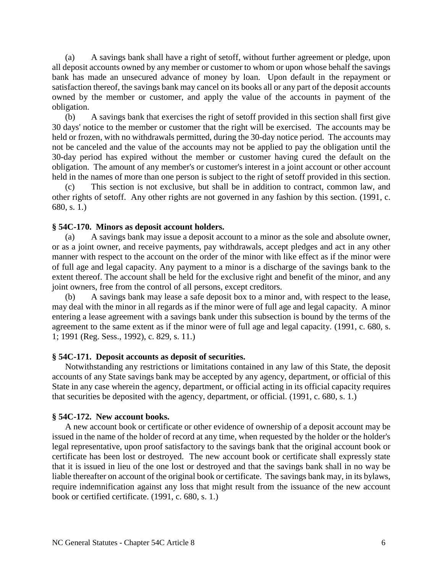(a) A savings bank shall have a right of setoff, without further agreement or pledge, upon all deposit accounts owned by any member or customer to whom or upon whose behalf the savings bank has made an unsecured advance of money by loan. Upon default in the repayment or satisfaction thereof, the savings bank may cancel on its books all or any part of the deposit accounts owned by the member or customer, and apply the value of the accounts in payment of the obligation.

(b) A savings bank that exercises the right of setoff provided in this section shall first give 30 days' notice to the member or customer that the right will be exercised. The accounts may be held or frozen, with no withdrawals permitted, during the 30-day notice period. The accounts may not be canceled and the value of the accounts may not be applied to pay the obligation until the 30-day period has expired without the member or customer having cured the default on the obligation. The amount of any member's or customer's interest in a joint account or other account held in the names of more than one person is subject to the right of setoff provided in this section.

(c) This section is not exclusive, but shall be in addition to contract, common law, and other rights of setoff. Any other rights are not governed in any fashion by this section. (1991, c. 680, s. 1.)

### **§ 54C-170. Minors as deposit account holders.**

(a) A savings bank may issue a deposit account to a minor as the sole and absolute owner, or as a joint owner, and receive payments, pay withdrawals, accept pledges and act in any other manner with respect to the account on the order of the minor with like effect as if the minor were of full age and legal capacity. Any payment to a minor is a discharge of the savings bank to the extent thereof. The account shall be held for the exclusive right and benefit of the minor, and any joint owners, free from the control of all persons, except creditors.

(b) A savings bank may lease a safe deposit box to a minor and, with respect to the lease, may deal with the minor in all regards as if the minor were of full age and legal capacity. A minor entering a lease agreement with a savings bank under this subsection is bound by the terms of the agreement to the same extent as if the minor were of full age and legal capacity. (1991, c. 680, s. 1; 1991 (Reg. Sess., 1992), c. 829, s. 11.)

### **§ 54C-171. Deposit accounts as deposit of securities.**

Notwithstanding any restrictions or limitations contained in any law of this State, the deposit accounts of any State savings bank may be accepted by any agency, department, or official of this State in any case wherein the agency, department, or official acting in its official capacity requires that securities be deposited with the agency, department, or official. (1991, c. 680, s. 1.)

### **§ 54C-172. New account books.**

A new account book or certificate or other evidence of ownership of a deposit account may be issued in the name of the holder of record at any time, when requested by the holder or the holder's legal representative, upon proof satisfactory to the savings bank that the original account book or certificate has been lost or destroyed. The new account book or certificate shall expressly state that it is issued in lieu of the one lost or destroyed and that the savings bank shall in no way be liable thereafter on account of the original book or certificate. The savings bank may, in its bylaws, require indemnification against any loss that might result from the issuance of the new account book or certified certificate. (1991, c. 680, s. 1.)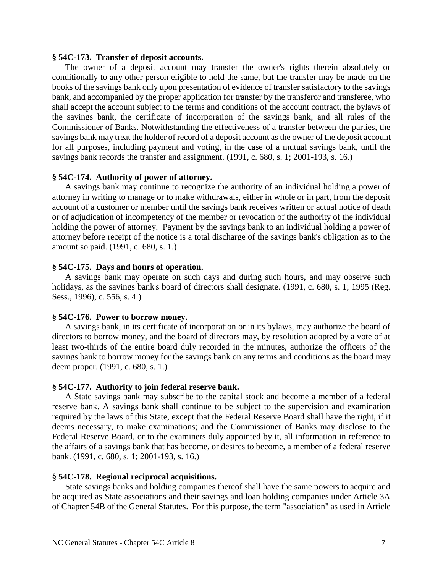### **§ 54C-173. Transfer of deposit accounts.**

The owner of a deposit account may transfer the owner's rights therein absolutely or conditionally to any other person eligible to hold the same, but the transfer may be made on the books of the savings bank only upon presentation of evidence of transfer satisfactory to the savings bank, and accompanied by the proper application for transfer by the transferor and transferee, who shall accept the account subject to the terms and conditions of the account contract, the bylaws of the savings bank, the certificate of incorporation of the savings bank, and all rules of the Commissioner of Banks. Notwithstanding the effectiveness of a transfer between the parties, the savings bank may treat the holder of record of a deposit account as the owner of the deposit account for all purposes, including payment and voting, in the case of a mutual savings bank, until the savings bank records the transfer and assignment. (1991, c. 680, s. 1; 2001-193, s. 16.)

#### **§ 54C-174. Authority of power of attorney.**

A savings bank may continue to recognize the authority of an individual holding a power of attorney in writing to manage or to make withdrawals, either in whole or in part, from the deposit account of a customer or member until the savings bank receives written or actual notice of death or of adjudication of incompetency of the member or revocation of the authority of the individual holding the power of attorney. Payment by the savings bank to an individual holding a power of attorney before receipt of the notice is a total discharge of the savings bank's obligation as to the amount so paid. (1991, c. 680, s. 1.)

### **§ 54C-175. Days and hours of operation.**

A savings bank may operate on such days and during such hours, and may observe such holidays, as the savings bank's board of directors shall designate. (1991, c. 680, s. 1; 1995 (Reg. Sess., 1996), c. 556, s. 4.)

#### **§ 54C-176. Power to borrow money.**

A savings bank, in its certificate of incorporation or in its bylaws, may authorize the board of directors to borrow money, and the board of directors may, by resolution adopted by a vote of at least two-thirds of the entire board duly recorded in the minutes, authorize the officers of the savings bank to borrow money for the savings bank on any terms and conditions as the board may deem proper. (1991, c. 680, s. 1.)

#### **§ 54C-177. Authority to join federal reserve bank.**

A State savings bank may subscribe to the capital stock and become a member of a federal reserve bank. A savings bank shall continue to be subject to the supervision and examination required by the laws of this State, except that the Federal Reserve Board shall have the right, if it deems necessary, to make examinations; and the Commissioner of Banks may disclose to the Federal Reserve Board, or to the examiners duly appointed by it, all information in reference to the affairs of a savings bank that has become, or desires to become, a member of a federal reserve bank. (1991, c. 680, s. 1; 2001-193, s. 16.)

### **§ 54C-178. Regional reciprocal acquisitions.**

State savings banks and holding companies thereof shall have the same powers to acquire and be acquired as State associations and their savings and loan holding companies under Article 3A of Chapter 54B of the General Statutes. For this purpose, the term "association" as used in Article